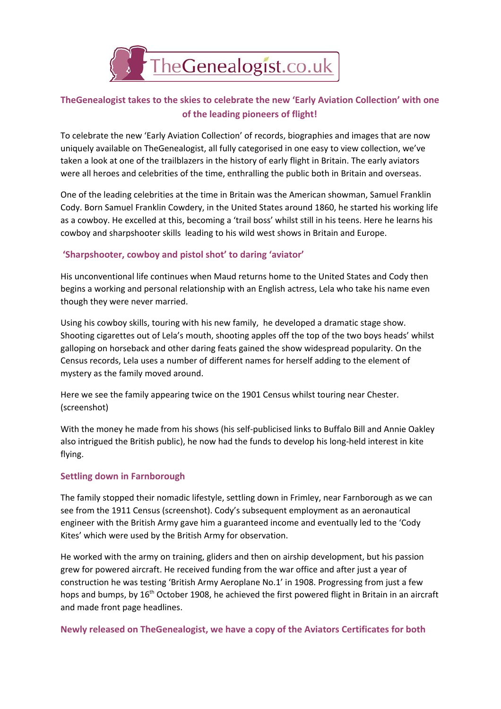

## **TheGenealogist takes to the skies to celebrate the new 'Early Aviation Collection' with one of the leading pioneers of flight!**

To celebrate the new 'Early Aviation Collection' of records, biographies and images that are now uniquely available on TheGenealogist, all fully categorised in one easy to view collection, we've taken a look at one of the trailblazers in the history of early flight in Britain. The early aviators were all heroes and celebrities of the time, enthralling the public both in Britain and overseas.

One of the leading celebrities at the time in Britain was the American showman, Samuel Franklin Cody. Born Samuel Franklin Cowdery, in the United States around 1860, he started his working life as a cowboy. He excelled at this, becoming a 'trail boss' whilst still in his teens. Here he learns his cowboy and sharpshooter skills leading to his wild west shows in Britain and Europe.

## **'Sharpshooter, cowboy and pistol shot' to daring 'aviator'**

His unconventional life continues when Maud returns home to the United States and Cody then begins a working and personal relationship with an English actress, Lela who take his name even though they were never married.

Using his cowboy skills, touring with his new family, he developed a dramatic stage show. Shooting cigarettes out of Lela's mouth, shooting apples off the top of the two boys heads' whilst galloping on horseback and other daring feats gained the show widespread popularity. On the Census records, Lela uses a number of different names for herself adding to the element of mystery as the family moved around.

Here we see the family appearing twice on the 1901 Census whilst touring near Chester. (screenshot)

With the money he made from his shows (his self-publicised links to Buffalo Bill and Annie Oakley also intrigued the British public), he now had the funds to develop his long-held interest in kite flying.

## **Settling down in Farnborough**

The family stopped their nomadic lifestyle, settling down in Frimley, near Farnborough as we can see from the 1911 Census (screenshot). Cody's subsequent employment as an aeronautical engineer with the British Army gave him a guaranteed income and eventually led to the 'Cody Kites' which were used by the British Army for observation.

He worked with the army on training, gliders and then on airship development, but his passion grew for powered aircraft. He received funding from the war office and after just a year of construction he was testing 'British Army Aeroplane No.1' in 1908. Progressing from just a few hops and bumps, by 16<sup>th</sup> October 1908, he achieved the first powered flight in Britain in an aircraft and made front page headlines.

**Newly released on TheGenealogist, we have a copy of the Aviators Certificates for both**